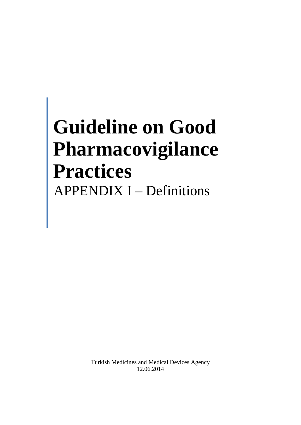# **Guideline on Good Pharmacovigilance Practices**  APPENDIX I – Definitions

Turkish Medicines and Medical Devices Agency 12.06.2014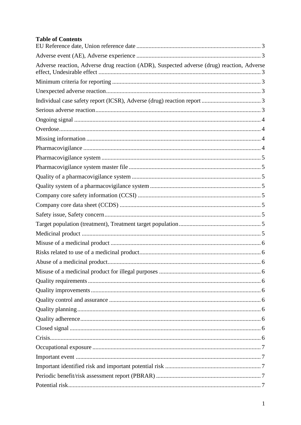## **Table of Contents**

| Adverse reaction, Adverse drug reaction (ADR), Suspected adverse (drug) reaction, Adverse |
|-------------------------------------------------------------------------------------------|
|                                                                                           |
|                                                                                           |
|                                                                                           |
|                                                                                           |
|                                                                                           |
|                                                                                           |
|                                                                                           |
|                                                                                           |
|                                                                                           |
|                                                                                           |
|                                                                                           |
|                                                                                           |
|                                                                                           |
|                                                                                           |
|                                                                                           |
|                                                                                           |
|                                                                                           |
|                                                                                           |
|                                                                                           |
|                                                                                           |
|                                                                                           |
|                                                                                           |
|                                                                                           |
|                                                                                           |
|                                                                                           |
|                                                                                           |
|                                                                                           |
|                                                                                           |
|                                                                                           |
|                                                                                           |
|                                                                                           |
|                                                                                           |
|                                                                                           |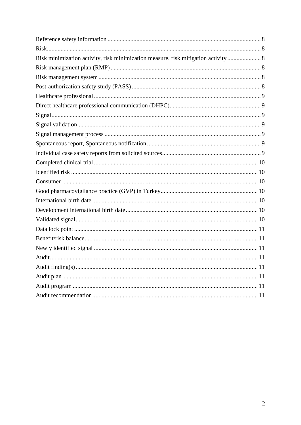| Risk minimization activity, risk minimization measure, risk mitigation activity  8 |
|------------------------------------------------------------------------------------|
|                                                                                    |
|                                                                                    |
|                                                                                    |
|                                                                                    |
|                                                                                    |
|                                                                                    |
|                                                                                    |
|                                                                                    |
|                                                                                    |
|                                                                                    |
|                                                                                    |
|                                                                                    |
|                                                                                    |
|                                                                                    |
|                                                                                    |
|                                                                                    |
|                                                                                    |
|                                                                                    |
|                                                                                    |
|                                                                                    |
|                                                                                    |
|                                                                                    |
|                                                                                    |
|                                                                                    |
|                                                                                    |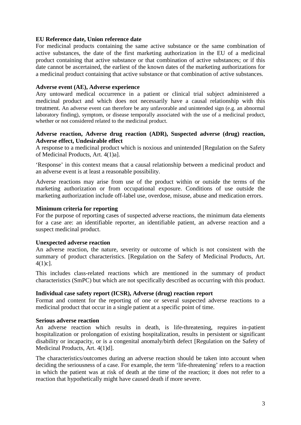#### <span id="page-3-0"></span>**EU Reference date, Union reference date**

For medicinal products containing the same active substance or the same combination of active substances, the date of the first marketing authorization in the EU of a medicinal product containing that active substance or that combination of active substances; or if this date cannot be ascertained, the earliest of the known dates of the marketing authorizations for a medicinal product containing that active substance or that combination of active substances.

#### <span id="page-3-1"></span>**Adverse event (AE), Adverse experience**

Any untoward medical occurrence in a patient or clinical trial subject administered a medicinal product and which does not necessarily have a causal relationship with this treatment. An adverse event can therefore be any unfavorable and unintended sign (e.g. an abnormal laboratory finding), symptom, or disease temporally associated with the use of a medicinal product, whether or not considered related to the medicinal product.

#### <span id="page-3-2"></span>**Adverse reaction, Adverse drug reaction (ADR), Suspected adverse (drug) reaction, Adverse effect, Undesirable effect**

A response to a medicinal product which is noxious and unintended [Regulation on the Safety of Medicinal Products, Art. 4(1)a].

'Response' in this context means that a causal relationship between a medicinal product and an adverse event is at least a reasonable possibility.

Adverse reactions may arise from use of the product within or outside the terms of the marketing authorization or from occupational exposure. Conditions of use outside the marketing authorization include off-label use, overdose, misuse, abuse and medication errors.

#### <span id="page-3-3"></span>**Minimum criteria for reporting**

For the purpose of reporting cases of suspected adverse reactions, the minimum data elements for a case are: an identifiable reporter, an identifiable patient, an adverse reaction and a suspect medicinal product.

#### <span id="page-3-4"></span>**Unexpected adverse reaction**

An adverse reaction, the nature, severity or outcome of which is not consistent with the summary of product characteristics. [Regulation on the Safety of Medicinal Products, Art. 4(1)c].

This includes class-related reactions which are mentioned in the summary of product characteristics (SmPC) but which are not specifically described as occurring with this product.

#### <span id="page-3-5"></span>**Individual case safety report (ICSR), Adverse (drug) reaction report**

Format and content for the reporting of one or several suspected adverse reactions to a medicinal product that occur in a single patient at a specific point of time.

#### <span id="page-3-6"></span>**Serious adverse reaction**

An adverse reaction which results in death, is life-threatening, requires in-patient hospitalization or prolongation of existing hospitalization, results in persistent or significant disability or incapacity, or is a congenital anomaly/birth defect [Regulation on the Safety of Medicinal Products, Art. 4(1)d].

The characteristics/outcomes during an adverse reaction should be taken into account when deciding the seriousness of a case. For example, the term 'life-threatening' refers to a reaction in which the patient was at risk of death at the time of the reaction; it does not refer to a reaction that hypothetically might have caused death if more severe.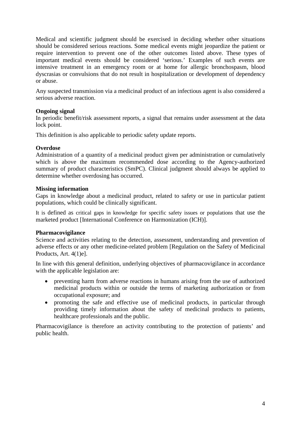Medical and scientific judgment should be exercised in deciding whether other situations should be considered serious reactions. Some medical events might jeopardize the patient or require intervention to prevent one of the other outcomes listed above. These types of important medical events should be considered 'serious.' Examples of such events are intensive treatment in an emergency room or at home for allergic bronchospasm, blood dyscrasias or convulsions that do not result in hospitalization or development of dependency or abuse.

Any suspected transmission via a medicinal product of an infectious agent is also considered a serious adverse reaction.

## <span id="page-4-0"></span>**Ongoing signal**

In periodic benefit/risk assessment reports, a signal that remains under assessment at the data lock point.

This definition is also applicable to periodic safety update reports.

#### <span id="page-4-1"></span>**Overdose**

Administration of a quantity of a medicinal product given per administration or cumulatively which is above the maximum recommended dose according to the Agency-authorized summary of product characteristics (SmPC). Clinical judgment should always be applied to determine whether overdosing has occurred.

#### <span id="page-4-2"></span>**Missing information**

Gaps in knowledge about a medicinal product, related to safety or use in particular patient populations, which could be clinically significant.

It is defined as critical gaps in knowledge for specific safety issues or populations that use the marketed product [International Conference on Harmonization (ICH)].

## <span id="page-4-3"></span>**Pharmacovigilance**

Science and activities relating to the detection, assessment, understanding and prevention of adverse effects or any other medicine-related problem [Regulation on the Safety of Medicinal Products, Art. 4(1)e].

In line with this general definition, underlying objectives of pharmacovigilance in accordance with the applicable legislation are:

- preventing harm from adverse reactions in humans arising from the use of authorized medicinal products within or outside the terms of marketing authorization or from occupational exposure; and
- promoting the safe and effective use of medicinal products, in particular through providing timely information about the safety of medicinal products to patients, healthcare professionals and the public.

Pharmacovigilance is therefore an activity contributing to the protection of patients' and public health.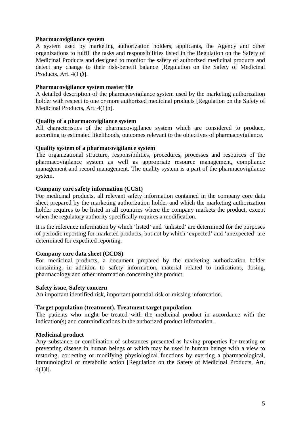#### <span id="page-5-0"></span>**Pharmacovigilance system**

A system used by marketing authorization holders, applicants, the Agency and other organizations to fulfill the tasks and responsibilities listed in the Regulation on the Safety of Medicinal Products and designed to monitor the safety of authorized medicinal products and detect any change to their risk-benefit balance [Regulation on the Safety of Medicinal Products, Art. 4(1)ğ].

#### <span id="page-5-1"></span>**Pharmacovigilance system master file**

A detailed description of the pharmacovigilance system used by the marketing authorization holder with respect to one or more authorized medicinal products [Regulation on the Safety of Medicinal Products, Art. 4(1)h].

#### <span id="page-5-2"></span>**Quality of a pharmacovigilance system**

All characteristics of the pharmacovigilance system which are considered to produce, according to estimated likelihoods, outcomes relevant to the objectives of pharmacovigilance.

#### <span id="page-5-3"></span>**Quality system of a pharmacovigilance system**

The organizational structure, responsibilities, procedures, processes and resources of the pharmacovigilance system as well as appropriate resource management, compliance management and record management. The quality system is a part of the pharmacovigilance system.

#### <span id="page-5-4"></span>**Company core safety information (CCSI)**

For medicinal products, all relevant safety information contained in the company core data sheet prepared by the marketing authorization holder and which the marketing authorization holder requires to be listed in all countries where the company markets the product, except when the regulatory authority specifically requires a modification.

It is the reference information by which 'listed' and 'unlisted' are determined for the purposes of periodic reporting for marketed products, but not by which 'expected' and 'unexpected' are determined for expedited reporting.

## <span id="page-5-5"></span>**Company core data sheet (CCDS)**

For medicinal products, a document prepared by the marketing authorization holder containing, in addition to safety information, material related to indications, dosing, pharmacology and other information concerning the product.

#### <span id="page-5-6"></span>**Safety issue, Safety concern**

An important identified risk, important potential risk or missing information.

#### <span id="page-5-7"></span>**Target population (treatment), Treatment target population**

The patients who might be treated with the medicinal product in accordance with the indication(s) and contraindications in the authorized product information.

#### <span id="page-5-8"></span>**Medicinal product**

Any substance or combination of substances presented as having properties for treating or preventing disease in human beings or which may be used in human beings with a view to restoring, correcting or modifying physiological functions by exerting a pharmacological, immunological or metabolic action [Regulation on the Safety of Medicinal Products, Art. 4(1)i].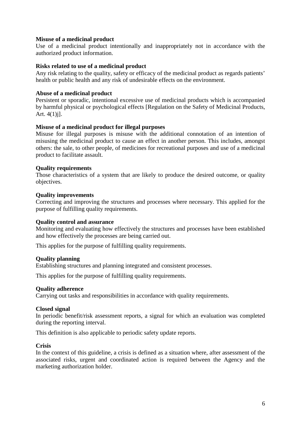#### <span id="page-6-0"></span>**Misuse of a medicinal product**

Use of a medicinal product intentionally and inappropriately not in accordance with the authorized product information.

#### <span id="page-6-1"></span>**Risks related to use of a medicinal product**

Any risk relating to the quality, safety or efficacy of the medicinal product as regards patients' health or public health and any risk of undesirable effects on the environment.

## <span id="page-6-2"></span>**Abuse of a medicinal product**

Persistent or sporadic, intentional excessive use of medicinal products which is accompanied by harmful physical or psychological effects [Regulation on the Safety of Medicinal Products, Art.  $4(1)$ j].

#### <span id="page-6-3"></span>**Misuse of a medicinal product for illegal purposes**

Misuse for illegal purposes is misuse with the additional connotation of an intention of misusing the medicinal product to cause an effect in another person. This includes, amongst others: the sale, to other people, of medicines for recreational purposes and use of a medicinal product to facilitate assault.

#### <span id="page-6-4"></span>**Quality requirements**

Those characteristics of a system that are likely to produce the desired outcome, or quality objectives.

#### <span id="page-6-5"></span>**Quality improvements**

Correcting and improving the structures and processes where necessary. This applied for the purpose of fulfilling quality requirements.

#### <span id="page-6-6"></span>**Quality control and assurance**

Monitoring and evaluating how effectively the structures and processes have been established and how effectively the processes are being carried out.

This applies for the purpose of fulfilling quality requirements.

#### <span id="page-6-7"></span>**Quality planning**

Establishing structures and planning integrated and consistent processes.

This applies for the purpose of fulfilling quality requirements.

#### <span id="page-6-8"></span>**Quality adherence**

Carrying out tasks and responsibilities in accordance with quality requirements.

## <span id="page-6-9"></span>**Closed signal**

In periodic benefit/risk assessment reports, a signal for which an evaluation was completed during the reporting interval.

This definition is also applicable to periodic safety update reports.

#### <span id="page-6-10"></span>**Crisis**

In the context of this guideline, a crisis is defined as a situation where, after assessment of the associated risks, urgent and coordinated action is required between the Agency and the marketing authorization holder.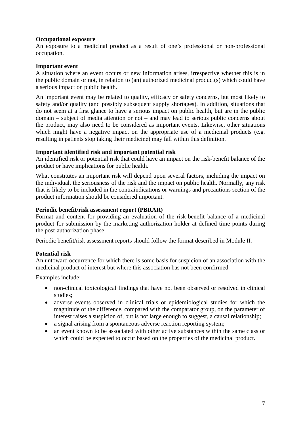#### <span id="page-7-0"></span>**Occupational exposure**

An exposure to a medicinal product as a result of one's professional or non-professional occupation.

#### <span id="page-7-1"></span>**Important event**

A situation where an event occurs or new information arises, irrespective whether this is in the public domain or not, in relation to (an) authorized medicinal product(s) which could have a serious impact on public health.

An important event may be related to quality, efficacy or safety concerns, but most likely to safety and/or quality (and possibly subsequent supply shortages). In addition, situations that do not seem at a first glance to have a serious impact on public health, but are in the public domain – subject of media attention or not – and may lead to serious public concerns about the product, may also need to be considered as important events. Likewise, other situations which might have a negative impact on the appropriate use of a medicinal products (e.g. resulting in patients stop taking their medicine) may fall within this definition.

#### <span id="page-7-2"></span>**Important identified risk and important potential risk**

An identified risk or potential risk that could have an impact on the risk-benefit balance of the product or have implications for public health.

What constitutes an important risk will depend upon several factors, including the impact on the individual, the seriousness of the risk and the impact on public health. Normally, any risk that is likely to be included in the contraindications or warnings and precautions section of the product information should be considered important.

#### <span id="page-7-3"></span>**Periodic benefit/risk assessment report (PBRAR)**

Format and content for providing an evaluation of the risk-benefit balance of a medicinal product for submission by the marketing authorization holder at defined time points during the post-authorization phase.

Periodic benefit/risk assessment reports should follow the format described in Module II.

## <span id="page-7-4"></span>**Potential risk**

An untoward occurrence for which there is some basis for suspicion of an association with the medicinal product of interest but where this association has not been confirmed.

Examples include:

- non-clinical toxicological findings that have not been observed or resolved in clinical studies;
- adverse events observed in clinical trials or epidemiological studies for which the magnitude of the difference, compared with the comparator group, on the parameter of interest raises a suspicion of, but is not large enough to suggest, a causal relationship;
- a signal arising from a spontaneous adverse reaction reporting system;
- an event known to be associated with other active substances within the same class or which could be expected to occur based on the properties of the medicinal product.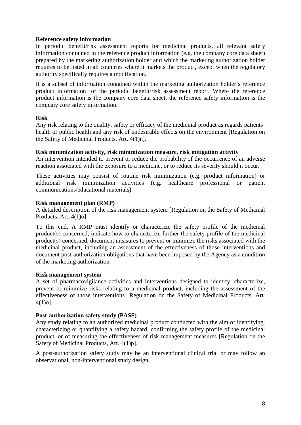#### <span id="page-8-0"></span>**Reference safety information**

In periodic benefit/risk assessment reports for medicinal products, all relevant safety information contained in the reference product information (e.g. the company core data sheet) prepared by the marketing authorization holder and which the marketing authorization holder requires to be listed in all countries where it markets the product, except when the regulatory authority specifically requires a modification.

It is a subset of information contained within the marketing authorization holder's reference product information for the periodic benefit/risk assessment report. Where the reference product information is the company core data sheet, the reference safety information is the company core safety information.

#### <span id="page-8-1"></span>**Risk**

Any risk relating to the quality, safety or efficacy of the medicinal product as regards patients' health or public health and any risk of undesirable effects on the environment [Regulation on the Safety of Medicinal Products, Art. 4(1)n].

#### <span id="page-8-2"></span>**Risk minimization activity, risk minimization measure, risk mitigation activity**

An intervention intended to prevent or reduce the probability of the occurrence of an adverse reaction associated with the exposure to a medicine, or to reduce its severity should it occur.

These activities may consist of routine risk minimization (e.g. product information) or additional risk minimization activities (e.g. healthcare professional or patient communications/educational materials).

#### <span id="page-8-3"></span>**Risk management plan (RMP)**

A detailed description of the risk management system [Regulation on the Safety of Medicinal Products, Art. 4(1)ö].

To this end, A RMP must identify or characterize the safety profile of the medicinal product(s) concerned, indicate how to characterize further the safety profile of the medicinal product(s) concerned, document measures to prevent or minimize the risks associated with the medicinal product, including an assessment of the effectiveness of those interventions and document post-authorization obligations that have been imposed by the Agency as a condition of the marketing authorization.

#### <span id="page-8-4"></span>**Risk management system**

A set of pharmacovigilance activities and interventions designed to identify, characterize, prevent or minimize risks relating to a medicinal product, including the assessment of the effectiveness of those interventions [Regulation on the Safety of Medicinal Products, Art.  $4(1)\ddot{o}$ ].

## <span id="page-8-5"></span>**Post-authorization safety study (PASS)**

Any study relating to an authorized medicinal product conducted with the aim of identifying, characterizing or quantifying a safety hazard, confirming the safety profile of the medicinal product, or of measuring the effectiveness of risk management measures [Regulation on the Safety of Medicinal Products, Art. 4(1)p].

<span id="page-8-6"></span>A post-authorization safety study may be an interventional clinical trial or may follow an observational, non-interventional study design.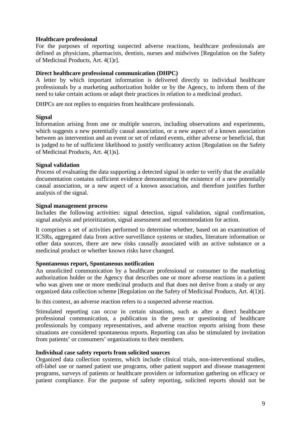#### **Healthcare professional**

For the purposes of reporting suspected adverse reactions, healthcare professionals are defined as physicians, pharmacists, dentists, nurses and midwives [Regulation on the Safety of Medicinal Products, Art. 4(1)r].

#### <span id="page-9-0"></span>**Direct healthcare professional communication (DHPC)**

A letter by which important information is delivered directly to individual healthcare professionals by a marketing authorization holder or by the Agency, to inform them of the need to take certain actions or adapt their practices in relation to a medicinal product.

DHPCs are not replies to enquiries from healthcare professionals.

#### <span id="page-9-1"></span>**Signal**

Information arising from one or multiple sources, including observations and experiments, which suggests a new potentially causal association, or a new aspect of a known association between an intervention and an event or set of related events, either adverse or beneficial, that is judged to be of sufficient likelihood to justify verificatory action [Regulation on the Safety of Medicinal Products, Art. 4(1)s].

#### <span id="page-9-2"></span>**Signal validation**

Process of evaluating the data supporting a detected signal in order to verify that the available documentation contains sufficient evidence demonstrating the existence of a new potentially causal association, or a new aspect of a known association, and therefore justifies further analysis of the signal.

#### <span id="page-9-3"></span>**Signal management process**

Includes the following activities: signal detection, signal validation, signal confirmation, signal analysis and prioritization, signal assessment and recommendation for action.

It comprises a set of activities performed to determine whether, based on an examination of ICSRs, aggregated data from active surveillance systems or studies, literature information or other data sources, there are new risks causally associated with an active substance or a medicinal product or whether known risks have changed.

#### <span id="page-9-4"></span>**Spontaneous report, Spontaneous notification**

An unsolicited communication by a healthcare professional or consumer to the marketing authorization holder or the Agency that describes one or more adverse reactions in a patient who was given one or more medicinal products and that does not derive from a study or any organized data collection scheme [Regulation on the Safety of Medicinal Products, Art. 4(1)t].

In this context, an adverse reaction refers to a suspected adverse reaction.

Stimulated reporting can occur in certain situations, such as after a direct healthcare professional communication, a publication in the press or questioning of healthcare professionals by company representatives, and adverse reaction reports arising from these situations are considered spontaneous reports. Reporting can also be stimulated by invitation from patients' or consumers' organizations to their members.

#### <span id="page-9-5"></span>**Individual case safety reports from solicited sources**

Organized data collection systems, which include clinical trials, non-interventional studies, off-label use or named patient use programs, other patient support and disease management programs, surveys of patients or healthcare providers or information gathering on efficacy or patient compliance. For the purpose of safety reporting, solicited reports should not be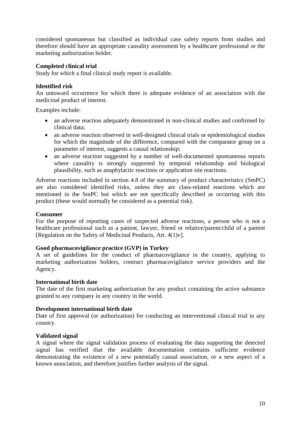considered spontaneous but classified as individual case safety reports from studies and therefore should have an appropriate causality assessment by a healthcare professional or the marketing authorization holder.

## <span id="page-10-0"></span>**Completed clinical trial**

Study for which a final clinical study report is available.

#### <span id="page-10-1"></span>**Identified risk**

An untoward occurrence for which there is adequate evidence of an association with the medicinal product of interest.

Examples include:

- an adverse reaction adequately demonstrated in non-clinical studies and confirmed by clinical data;
- an adverse reaction observed in well-designed clinical trials or epidemiological studies for which the magnitude of the difference, compared with the comparator group on a parameter of interest, suggests a causal relationship;
- an adverse reaction suggested by a number of well-documented spontaneous reports where causality is strongly supported by temporal relationship and biological plausibility, such as anaphylactic reactions or application site reactions.

Adverse reactions included in section 4.8 of the summary of product characteristics (SmPC) are also considered identified risks, unless they are class-related reactions which are mentioned in the SmPC but which are not specifically described as occurring with this product (these would normally be considered as a potential risk).

## <span id="page-10-2"></span>**Consumer**

For the purpose of reporting cases of suspected adverse reactions, a person who is not a healthcare professional such as a patient, lawyer, friend or relative/parent/child of a patient [Regulation on the Safety of Medicinal Products, Art.  $4(1)v$ ].

## <span id="page-10-3"></span>**Good pharmacovigilance practice (GVP) in Turkey**

A set of guidelines for the conduct of pharmacovigilance in the country, applying to marketing authorization holders, contract pharmacovigilance service providers and the Agency.

#### <span id="page-10-4"></span>**International birth date**

The date of the first marketing authorization for any product containing the active substance granted to any company in any country in the world.

#### <span id="page-10-5"></span>**Development international birth date**

Date of first approval (or authorization) for conducting an interventional clinical trial in any country.

#### <span id="page-10-6"></span>**Validated signal**

A signal where the signal validation process of evaluating the data supporting the detected signal has verified that the available documentation contains sufficient evidence demonstrating the existence of a new potentially causal association, or a new aspect of a known association, and therefore justifies further analysis of the signal.